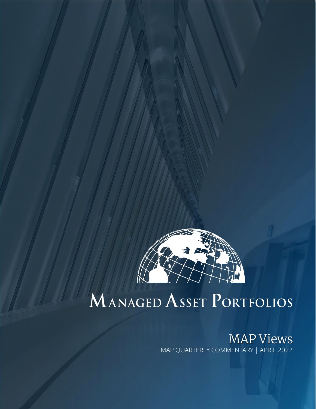

# MANAGED ASSET PORTFOLIOS

MAP Views MAP QUARTERLY COMMENTARY | APRIL 2022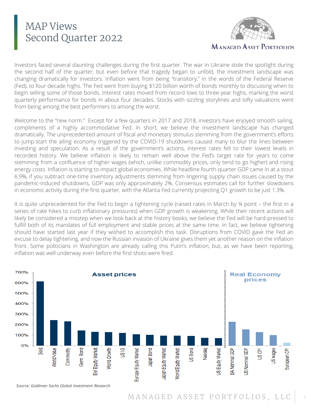

**MANAGED ASSET PORTFOLIOS** 

Investors faced several daunting challenges during the first quarter. The war in Ukraine stole the spotlight during the second half of the quarter, but even before that tragedy began to unfold, the investment landscape was changing dramatically for investors. Inflation went from being "transitory," in the words of the Federal Reserve (Fed), to four-decade highs. The Fed went from buying \$120 billion worth of bonds monthly to discussing when to begin selling some of those bonds. Interest rates moved from record lows to three-year highs, marking the worst quarterly performance for bonds in about four decades. Stocks with sizzling storylines and lofty valuations went from being among the best performers to among the worst.

Welcome to the "new norm." Except for a few quarters in 2017 and 2018, investors have enjoyed smooth sailing, compliments of a highly accommodative Fed. In short, we believe the investment landscape has changed dramatically. The unprecedented amount of fiscal and monetary stimulus stemming from the government's efforts to jump-start the ailing economy triggered by the COVID-19 shutdowns caused many to blur the lines between investing and speculation. As a result of the government's actions, interest rates fell to their lowest levels in recorded history. We believe inflation is likely to remain well above the Fed's target rate for years to come stemming from a confluence of higher wages (which, unlike commodity prices, only tend to go higher) and rising energy costs. Inflation is starting to impact global economies. While headline fourth-quarter GDP came in at a stout 6.9%, if you subtract one-time inventory adjustments stemming from lingering supply chain issues caused by the pandemic-induced shutdowns, GDP was only approximately 2%. Consensus estimates call for further slowdowns in economic activity during the first quarter, with the Atlanta Fed currently projecting Q1 growth to be just 1.3%.

It is quite unprecedented for the Fed to begin a tightening cycle (raised rates in March by ¼ point – the first in a series of rate hikes to curb inflationary pressures) when GDP growth is weakening. While their recent actions will likely be considered a misstep when we look back at the history books, we believe the Fed will be hard-pressed to fulfill both of its mandates of full employment and stable prices at the same time. In fact, we believe tightening should have started last year if they wished to accomplish this task. Disruptions from COVID gave the Fed an excuse to delay tightening, and now the Russian invasion of Ukraine gives them yet another reason on the inflation front. Some politicians in Washington are already calling this Putin's inflation, but, as we have been reporting, inflation was well underway even before the first shots were fired.



*Source: Goldman Sachs Global Investment Research*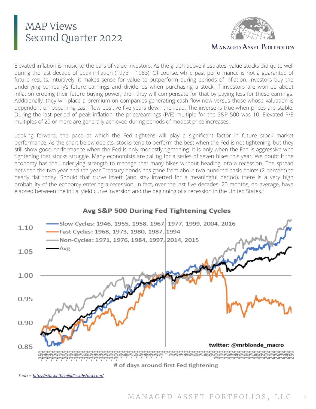

**MANAGED ASSET PORTFOLIOS** 

Elevated inflation is music to the ears of value investors. As the graph above illustrates, value stocks did quite well during the last decade of peak inflation (1973 – 1983). Of course, while past performance is not a guarantee of future results, intuitively, it makes sense for value to outperform during periods of inflation. Investors buy the underlying company's future earnings and dividends when purchasing a stock. If investors are worried about inflation eroding their future buying power, then they will compensate for that by paying less for these earnings. Additionally, they will place a premium on companies generating cash flow now versus those whose valuation is dependent on becoming cash flow positive five years down the road. The inverse is true when prices are stable. During the last period of peak inflation, the price/earnings (P/E) multiple for the S&P 500 was 10. Elevated P/E multiples of 20 or more are generally achieved during periods of modest price increases.

Looking forward, the pace at which the Fed tightens will play a significant factor in future stock market performance. As the chart below depicts, stocks tend to perform the best when the Fed is not tightening, but they still show good performance when the Fed is only modestly tightening. It is only when the Fed is aggressive with tightening that stocks struggle. Many economists are calling for a series of seven hikes this year. We doubt if the economy has the underlying strength to manage that many hikes without heading into a recession. The spread between the two-year and ten-year Treasury bonds has gone from about two hundred basis points (2 percent) to nearly flat today. Should that curve invert (and stay inverted for a meaningful period), there is a very high probability of the economy entering a recession. In fact, over the last five decades, 20 months, on average, have elapsed between the initial yield curve inversion and the beginning of a recession in the United States. 1



Avg S&P 500 During Fed Tightening Cycles

*Source: <https://stuckinthemiddle.substack.com/>*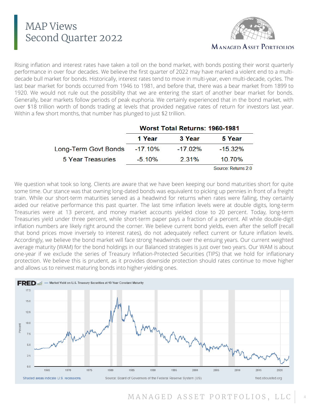

**MANAGED ASSET PORTFOLIOS** 

Rising inflation and interest rates have taken a toll on the bond market, with bonds posting their worst quarterly performance in over four decades. We believe the first quarter of 2022 may have marked a violent end to a multidecade bull market for bonds. Historically, interest rates tend to move in multi-year, even multi-decade, cycles. The last bear market for bonds occurred from 1946 to 1981, and before that, there was a bear market from 1899 to 1920. We would not rule out the possibility that we are entering the start of another bear market for bonds. Generally, bear markets follow periods of peak euphoria. We certainly experienced that in the bond market, with over \$18 trillion worth of bonds trading at levels that provided negative rates of return for investors last year. Within a few short months, that number has plunged to just \$2 trillion.

|                              | <b>Worst Total Returns: 1960-1981</b> |          |                     |
|------------------------------|---------------------------------------|----------|---------------------|
|                              | 1 Year                                | 3 Year   | 5 Year              |
| Long-Term Govt Bonds -17.10% |                                       | -17.02%  | $-15.32\%$          |
| 5 Year Treasuries            | $-5.10\%$                             | $2.31\%$ | 10.70%              |
|                              |                                       |          | Source: Returns 2.0 |

We question what took so long. Clients are aware that we have been keeping our bond maturities short for quite some time. Our stance was that owning long-dated bonds was equivalent to picking up pennies in front of a freight train. While our short-term maturities served as a headwind for returns when rates were falling, they certainly aided our relative performance this past quarter. The last time inflation levels were at double digits, long-term Treasuries were at 13 percent, and money market accounts yielded close to 20 percent. Today, long-term Treasuries yield under three percent, while short-term paper pays a fraction of a percent. All while double-digit inflation numbers are likely right around the corner. We believe current bond yields, even after the selloff (recall that bond prices move inversely to interest rates), do not adequately reflect current or future inflation levels. Accordingly, we believe the bond market will face strong headwinds over the ensuing years. Our current weighted average maturity (WAM) for the bond holdings in our Balanced strategies is just over two years. Our WAM is about one-year if we exclude the series of Treasury Inflation-Protected Securities (TIPS) that we hold for inflationary protection. We believe this is prudent, as it provides downside protection should rates continue to move higher and allows us to reinvest maturing bonds into higher-yielding ones.

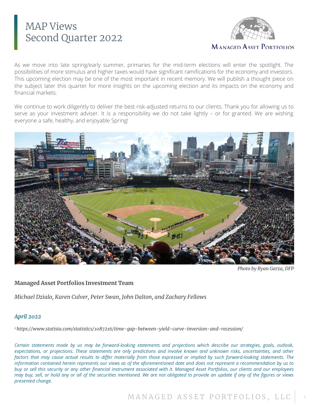

**MANAGED ASSET PORTFOLIOS** 

As we move into late spring/early summer, primaries for the mid-term elections will enter the spotlight. The possibilities of more stimulus and higher taxes would have significant ramifications for the economy and investors. This upcoming election may be one of the most important in recent memory. We will publish a thought piece on the subject later this quarter for more insights on the upcoming election and its impacts on the economy and financial markets.

We continue to work diligently to deliver the best risk-adjusted returns to our clients. Thank you for allowing us to serve as your investment adviser. It is a responsibility we do not take lightly – or for granted. We are wishing everyone a safe, healthy, and enjoyable Spring!



*Photo by Ryan Garza, DFP*

#### **Managed Asset Portfolios Investment Team**

*Michael Dzialo, Karen Culver, Peter Swan, John Dalton, and Zachary Fellows*

#### *April 2022*

*<sup>1</sup>https://www.statista.com/statistics/1087216/time-gap-between-yield-curve-inversion-and-recession/*

Certain statements made by us may be forward-looking statements and projections which describe our strategies, goals, outlook, expectations, or projections. These statements are only predictions and involve known and unknown risks, uncertainties, and other factors that may cause actual results to differ materially from those expressed or implied by such forward-looking statements. The information contained herein represents our views as of the aforementioned date and does not represent a recommendation by us to buy or sell this security or any other financial instrument associated with it. Managed Asset Portfolios, our clients and our employees may buy, sell, or hold any or all of the securities mentioned. We are not obligated to provide an update if any of the figures or views *presented change.*